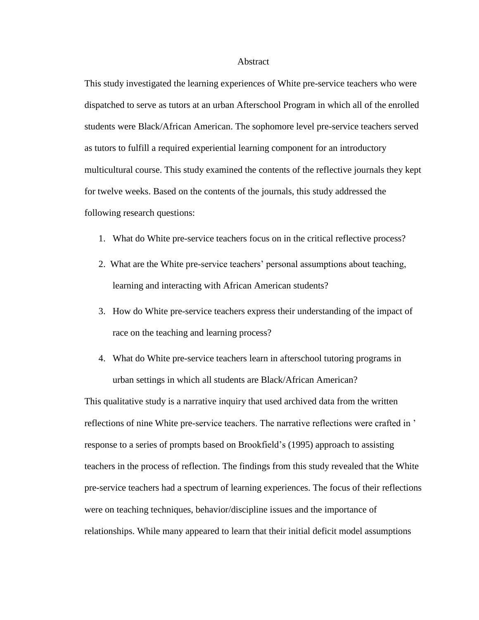## Abstract

This study investigated the learning experiences of White pre-service teachers who were dispatched to serve as tutors at an urban Afterschool Program in which all of the enrolled students were Black/African American. The sophomore level pre-service teachers served as tutors to fulfill a required experiential learning component for an introductory multicultural course. This study examined the contents of the reflective journals they kept for twelve weeks. Based on the contents of the journals, this study addressed the following research questions:

- 1. What do White pre-service teachers focus on in the critical reflective process?
- 2. What are the White pre-service teachers' personal assumptions about teaching, learning and interacting with African American students?
- 3. How do White pre-service teachers express their understanding of the impact of race on the teaching and learning process?
- 4. What do White pre-service teachers learn in afterschool tutoring programs in urban settings in which all students are Black/African American?

This qualitative study is a narrative inquiry that used archived data from the written reflections of nine White pre-service teachers. The narrative reflections were crafted in ' response to a series of prompts based on Brookfield's (1995) approach to assisting teachers in the process of reflection. The findings from this study revealed that the White pre-service teachers had a spectrum of learning experiences. The focus of their reflections were on teaching techniques, behavior/discipline issues and the importance of relationships. While many appeared to learn that their initial deficit model assumptions